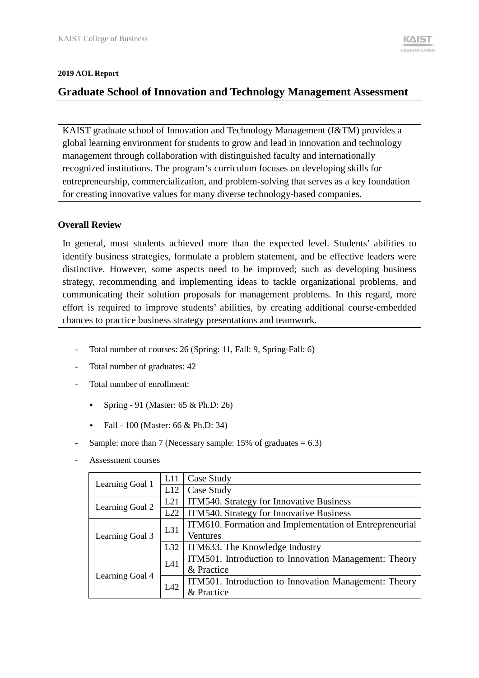#### **2019 AOL Report**

## **Graduate School of Innovation and Technology Management Assessment**

KAIST graduate school of Innovation and Technology Management (I&TM) provides a global learning environment for students to grow and lead in innovation and technology management through collaboration with distinguished faculty and internationally recognized institutions. The program's curriculum focuses on developing skills for entrepreneurship, commercialization, and problem-solving that serves as a key foundation for creating innovative values for many diverse technology-based companies.

### **Overall Review**

In general, most students achieved more than the expected level. Students' abilities to identify business strategies, formulate a problem statement, and be effective leaders were distinctive. However, some aspects need to be improved; such as developing business strategy, recommending and implementing ideas to tackle organizational problems, and communicating their solution proposals for management problems. In this regard, more effort is required to improve students' abilities, by creating additional course-embedded chances to practice business strategy presentations and teamwork.

- Total number of courses: 26 (Spring: 11, Fall: 9, Spring-Fall: 6)
- Total number of graduates: 42
- Total number of enrollment:
	- Spring 91 (Master: 65 & Ph.D: 26)
	- Fall 100 (Master: 66 & Ph.D: 34)
- Sample: more than 7 (Necessary sample:  $15\%$  of graduates = 6.3)
- Assessment courses

|                 | L11 | Case Study                                              |  |  |
|-----------------|-----|---------------------------------------------------------|--|--|
| Learning Goal 1 | L12 | Case Study                                              |  |  |
| Learning Goal 2 | L21 | ITM540. Strategy for Innovative Business                |  |  |
|                 | L22 | ITM540. Strategy for Innovative Business                |  |  |
|                 | L31 | ITM610. Formation and Implementation of Entrepreneurial |  |  |
| Learning Goal 3 |     | <b>Ventures</b>                                         |  |  |
|                 | L32 | ITM633. The Knowledge Industry                          |  |  |
|                 | L41 | ITM501. Introduction to Innovation Management: Theory   |  |  |
| Learning Goal 4 |     | & Practice                                              |  |  |
|                 | L42 | ITM501. Introduction to Innovation Management: Theory   |  |  |
|                 |     | & Practice                                              |  |  |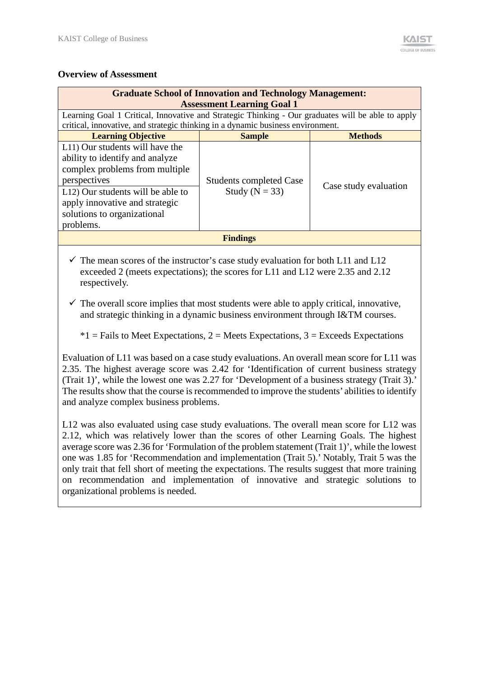### **Overview of Assessment**

| <b>Graduate School of Innovation and Technology Management:</b><br><b>Assessment Learning Goal 1</b><br>Learning Goal 1 Critical, Innovative and Strategic Thinking - Our graduates will be able to apply<br>critical, innovative, and strategic thinking in a dynamic business environment. |                                                      |                       |  |  |
|----------------------------------------------------------------------------------------------------------------------------------------------------------------------------------------------------------------------------------------------------------------------------------------------|------------------------------------------------------|-----------------------|--|--|
| <b>Learning Objective</b>                                                                                                                                                                                                                                                                    | <b>Sample</b>                                        | <b>Methods</b>        |  |  |
| L11) Our students will have the<br>ability to identify and analyze<br>complex problems from multiple<br>perspectives<br>L12) Our students will be able to<br>apply innovative and strategic<br>solutions to organizational<br>problems.                                                      | <b>Students completed Case</b><br>Study ( $N = 33$ ) | Case study evaluation |  |  |
| <b>Findings</b>                                                                                                                                                                                                                                                                              |                                                      |                       |  |  |
|                                                                                                                                                                                                                                                                                              |                                                      |                       |  |  |

 $\checkmark$  The mean scores of the instructor's case study evaluation for both L11 and L12 exceeded 2 (meets expectations); the scores for L11 and L12 were 2.35 and 2.12 respectively.

 $\checkmark$  The overall score implies that most students were able to apply critical, innovative, and strategic thinking in a dynamic business environment through I&TM courses.

 $*1$  = Fails to Meet Expectations, 2 = Meets Expectations, 3 = Exceeds Expectations

Evaluation of L11 was based on a case study evaluations. An overall mean score for L11 was 2.35. The highest average score was 2.42 for 'Identification of current business strategy (Trait 1)', while the lowest one was 2.27 for 'Development of a business strategy (Trait 3).' The results show that the course is recommended to improve the students' abilities to identify and analyze complex business problems.

L12 was also evaluated using case study evaluations. The overall mean score for L12 was 2.12, which was relatively lower than the scores of other Learning Goals. The highest average score was 2.36 for 'Formulation of the problem statement (Trait 1)', while the lowest one was 1.85 for 'Recommendation and implementation (Trait 5).' Notably, Trait 5 was the only trait that fell short of meeting the expectations. The results suggest that more training on recommendation and implementation of innovative and strategic solutions to organizational problems is needed.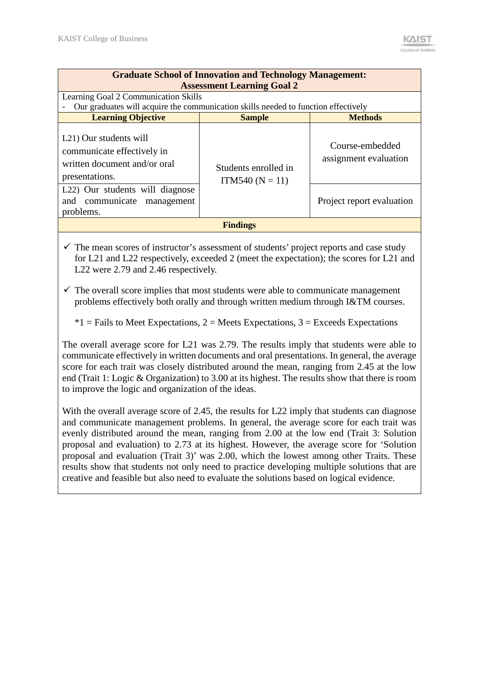| <b>Graduate School of Innovation and Technology Management:</b><br><b>Assessment Learning Goal 2</b>                |                                           |                                          |  |  |
|---------------------------------------------------------------------------------------------------------------------|-------------------------------------------|------------------------------------------|--|--|
| Learning Goal 2 Communication Skills                                                                                |                                           |                                          |  |  |
| Our graduates will acquire the communication skills needed to function effectively                                  |                                           |                                          |  |  |
| <b>Learning Objective</b>                                                                                           | <b>Sample</b>                             | <b>Methods</b>                           |  |  |
| L <sub>21</sub> ) Our students will<br>communicate effectively in<br>written document and/or oral<br>presentations. | Students enrolled in<br>$ITM540 (N = 11)$ | Course-embedded<br>assignment evaluation |  |  |
| L <sub>22</sub> ) Our students will diagnose<br>and communicate management<br>problems.                             |                                           | Project report evaluation                |  |  |
|                                                                                                                     | <b>Findings</b>                           |                                          |  |  |

 $\checkmark$  The mean scores of instructor's assessment of students' project reports and case study for L21 and L22 respectively, exceeded 2 (meet the expectation); the scores for L21 and L22 were 2.79 and 2.46 respectively.

 $\checkmark$  The overall score implies that most students were able to communicate management problems effectively both orally and through written medium through I&TM courses.

 $*1$  = Fails to Meet Expectations, 2 = Meets Expectations, 3 = Exceeds Expectations

The overall average score for L21 was 2.79. The results imply that students were able to communicate effectively in written documents and oral presentations. In general, the average score for each trait was closely distributed around the mean, ranging from 2.45 at the low end (Trait 1: Logic & Organization) to 3.00 at its highest. The results show that there is room to improve the logic and organization of the ideas.

With the overall average score of 2.45, the results for L22 imply that students can diagnose and communicate management problems. In general, the average score for each trait was evenly distributed around the mean, ranging from 2.00 at the low end (Trait 3: Solution proposal and evaluation) to 2.73 at its highest. However, the average score for 'Solution proposal and evaluation (Trait 3)' was 2.00, which the lowest among other Traits. These results show that students not only need to practice developing multiple solutions that are creative and feasible but also need to evaluate the solutions based on logical evidence.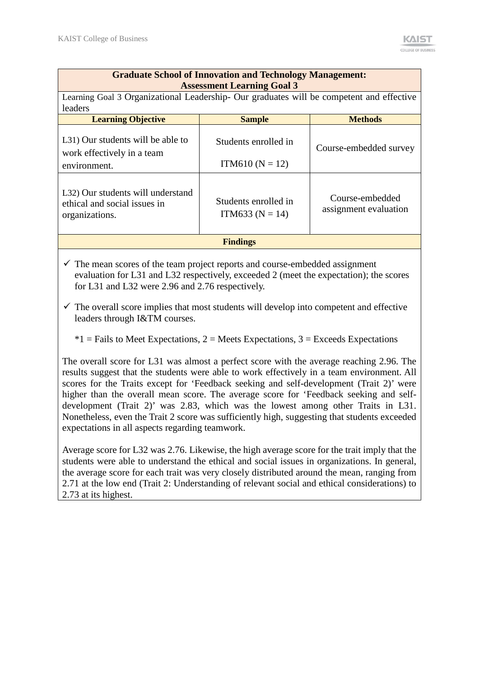| <b>Graduate School of Innovation and Technology Management:</b><br><b>Assessment Learning Goal 3</b>                                                                           |                                           |                        |  |  |  |
|--------------------------------------------------------------------------------------------------------------------------------------------------------------------------------|-------------------------------------------|------------------------|--|--|--|
| Learning Goal 3 Organizational Leadership- Our graduates will be competent and effective<br>leaders                                                                            |                                           |                        |  |  |  |
| <b>Learning Objective</b>                                                                                                                                                      | <b>Sample</b>                             | <b>Methods</b>         |  |  |  |
| L31) Our students will be able to<br>work effectively in a team<br>environment.                                                                                                | Students enrolled in<br>$ITM610 (N = 12)$ | Course-embedded survey |  |  |  |
| L32) Our students will understand<br>Course-embedded<br>Students enrolled in<br>ethical and social issues in<br>assignment evaluation<br>ITM633 ( $N = 14$ )<br>organizations. |                                           |                        |  |  |  |
|                                                                                                                                                                                | <b>Findings</b>                           |                        |  |  |  |

 $\checkmark$  The mean scores of the team project reports and course-embedded assignment evaluation for L31 and L32 respectively, exceeded 2 (meet the expectation); the scores for L31 and L32 were 2.96 and 2.76 respectively.

 $\checkmark$  The overall score implies that most students will develop into competent and effective leaders through I&TM courses.

 $*1$  = Fails to Meet Expectations, 2 = Meets Expectations, 3 = Exceeds Expectations

The overall score for L31 was almost a perfect score with the average reaching 2.96. The results suggest that the students were able to work effectively in a team environment. All scores for the Traits except for 'Feedback seeking and self-development (Trait 2)' were higher than the overall mean score. The average score for 'Feedback seeking and selfdevelopment (Trait 2)' was 2.83, which was the lowest among other Traits in L31. Nonetheless, even the Trait 2 score was sufficiently high, suggesting that students exceeded expectations in all aspects regarding teamwork.

Average score for L32 was 2.76. Likewise, the high average score for the trait imply that the students were able to understand the ethical and social issues in organizations. In general, the average score for each trait was very closely distributed around the mean, ranging from 2.71 at the low end (Trait 2: Understanding of relevant social and ethical considerations) to 2.73 at its highest.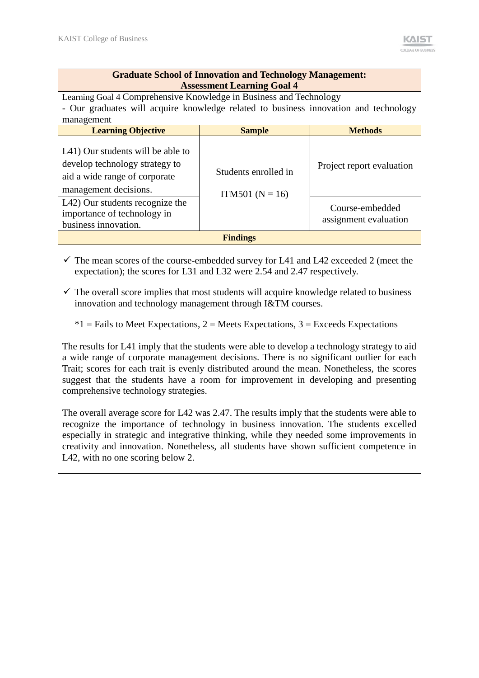|                                                                                                                                                            | <b>Graduate School of Innovation and Technology Management:</b><br><b>Assessment Learning Goal 4</b> |                                          |  |  |
|------------------------------------------------------------------------------------------------------------------------------------------------------------|------------------------------------------------------------------------------------------------------|------------------------------------------|--|--|
| Learning Goal 4 Comprehensive Knowledge in Business and Technology<br>- Our graduates will acquire knowledge related to business innovation and technology |                                                                                                      |                                          |  |  |
| management                                                                                                                                                 |                                                                                                      |                                          |  |  |
| <b>Learning Objective</b>                                                                                                                                  | <b>Sample</b>                                                                                        | <b>Methods</b>                           |  |  |
| L41) Our students will be able to<br>develop technology strategy to<br>aid a wide range of corporate<br>management decisions.                              | Students enrolled in<br>$ITM501 (N = 16)$                                                            | Project report evaluation                |  |  |
| L42) Our students recognize the<br>importance of technology in<br>business innovation.                                                                     |                                                                                                      | Course-embedded<br>assignment evaluation |  |  |
|                                                                                                                                                            | <b>Findings</b>                                                                                      |                                          |  |  |

 $\checkmark$  The mean scores of the course-embedded survey for L41 and L42 exceeded 2 (meet the expectation); the scores for L31 and L32 were 2.54 and 2.47 respectively.

 $\checkmark$  The overall score implies that most students will acquire knowledge related to business innovation and technology management through I&TM courses.

 $*1$  = Fails to Meet Expectations, 2 = Meets Expectations, 3 = Exceeds Expectations

The results for L41 imply that the students were able to develop a technology strategy to aid a wide range of corporate management decisions. There is no significant outlier for each Trait; scores for each trait is evenly distributed around the mean. Nonetheless, the scores suggest that the students have a room for improvement in developing and presenting comprehensive technology strategies.

The overall average score for L42 was 2.47. The results imply that the students were able to recognize the importance of technology in business innovation. The students excelled especially in strategic and integrative thinking, while they needed some improvements in creativity and innovation. Nonetheless, all students have shown sufficient competence in L42, with no one scoring below 2.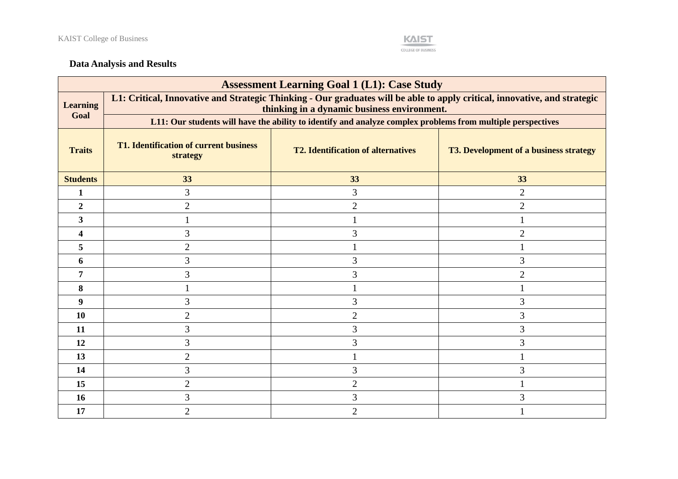

# **Data Analysis and Results**

| <b>Assessment Learning Goal 1 (L1): Case Study</b> |                                                                                                                                                                          |                                           |                                               |  |  |  |
|----------------------------------------------------|--------------------------------------------------------------------------------------------------------------------------------------------------------------------------|-------------------------------------------|-----------------------------------------------|--|--|--|
| <b>Learning</b><br>Goal                            | L1: Critical, Innovative and Strategic Thinking - Our graduates will be able to apply critical, innovative, and strategic<br>thinking in a dynamic business environment. |                                           |                                               |  |  |  |
|                                                    | L11: Our students will have the ability to identify and analyze complex problems from multiple perspectives                                                              |                                           |                                               |  |  |  |
| <b>Traits</b>                                      | <b>T1. Identification of current business</b><br>strategy                                                                                                                | <b>T2. Identification of alternatives</b> | <b>T3. Development of a business strategy</b> |  |  |  |
| <b>Students</b>                                    | 33                                                                                                                                                                       | 33                                        | 33                                            |  |  |  |
| 1                                                  | 3                                                                                                                                                                        | 3                                         | $\overline{2}$                                |  |  |  |
| $\overline{2}$                                     | $\overline{2}$                                                                                                                                                           | $\overline{2}$                            | $\overline{2}$                                |  |  |  |
| 3                                                  |                                                                                                                                                                          |                                           |                                               |  |  |  |
| 4                                                  | 3                                                                                                                                                                        | 3                                         | $\overline{2}$                                |  |  |  |
| 5                                                  | $\overline{2}$                                                                                                                                                           |                                           |                                               |  |  |  |
| 6                                                  | 3                                                                                                                                                                        | 3                                         | 3                                             |  |  |  |
| 7                                                  | 3                                                                                                                                                                        | $\overline{3}$                            | $\overline{2}$                                |  |  |  |
| 8                                                  |                                                                                                                                                                          |                                           |                                               |  |  |  |
| 9                                                  | 3                                                                                                                                                                        | 3                                         | 3                                             |  |  |  |
| 10                                                 | $\overline{2}$                                                                                                                                                           | $\overline{2}$                            | 3                                             |  |  |  |
| 11                                                 | $\overline{3}$                                                                                                                                                           | 3                                         | 3                                             |  |  |  |
| 12                                                 | $\overline{3}$                                                                                                                                                           | 3                                         | 3                                             |  |  |  |
| 13                                                 | $\overline{2}$                                                                                                                                                           |                                           |                                               |  |  |  |
| 14                                                 | $\overline{3}$                                                                                                                                                           | 3                                         | 3                                             |  |  |  |
| 15                                                 | $\overline{2}$                                                                                                                                                           | $\overline{2}$                            |                                               |  |  |  |
| 16                                                 | 3                                                                                                                                                                        | 3                                         | 3                                             |  |  |  |
| 17                                                 | 2                                                                                                                                                                        | $\overline{2}$                            |                                               |  |  |  |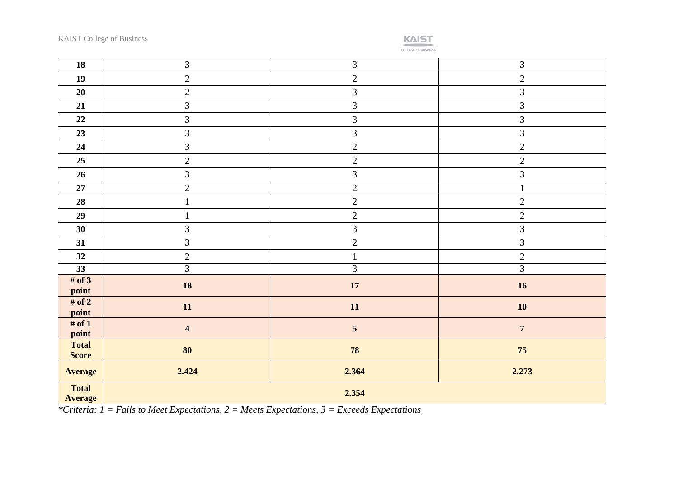

COLLEGE OF BUSINESS

| 18                             | $\mathfrak{Z}$          | $\mathfrak{Z}$  | 3              |  |
|--------------------------------|-------------------------|-----------------|----------------|--|
| 19                             | $\overline{2}$          | $\sqrt{2}$      | $\overline{2}$ |  |
| 20                             | $\overline{2}$          | $\mathfrak{Z}$  | $\mathfrak{Z}$ |  |
| 21                             | $\overline{3}$          | 3               | 3              |  |
| 22                             | $\mathfrak{Z}$          | $\overline{3}$  | $\mathfrak{Z}$ |  |
| 23                             | $\overline{3}$          | $\overline{3}$  | $\mathfrak{Z}$ |  |
| 24                             | $\overline{3}$          | $\overline{2}$  | $\overline{2}$ |  |
| 25                             | $\overline{2}$          | $\overline{2}$  | $\overline{2}$ |  |
| 26                             | $\overline{3}$          | $\overline{3}$  | $\overline{3}$ |  |
| $\bf 27$                       | $\overline{2}$          | $\overline{2}$  | $\mathbf{1}$   |  |
| 28                             | $\mathbf{1}$            | $\sqrt{2}$      | $\mathbf{2}$   |  |
| 29                             | $\mathbf{1}$            | $\overline{c}$  | $\overline{2}$ |  |
| 30                             | 3                       | $\overline{3}$  | $\overline{3}$ |  |
| 31                             | $\overline{3}$          | $\overline{c}$  | $\overline{3}$ |  |
| 32                             | $\overline{2}$          | $\mathbf{1}$    | $\overline{2}$ |  |
| 33                             | $\overline{3}$          | $\overline{3}$  | $\overline{3}$ |  |
| # of $3$<br>point              | 18                      | 17              | 16             |  |
| # of $2$<br>point              | $11\,$                  | 11              | 10             |  |
| # of $1$<br>point              | $\overline{\mathbf{4}}$ | $5\phantom{.0}$ | $\overline{7}$ |  |
| <b>Total</b><br><b>Score</b>   | 80                      | 78              | $75\,$         |  |
| <b>Average</b>                 | 2.424                   | 2.364           | 2.273          |  |
| <b>Total</b><br><b>Average</b> | 2.354                   |                 |                |  |

*\*Criteria: 1 = Fails to Meet Expectations, 2 = Meets Expectations, 3 = Exceeds Expectations*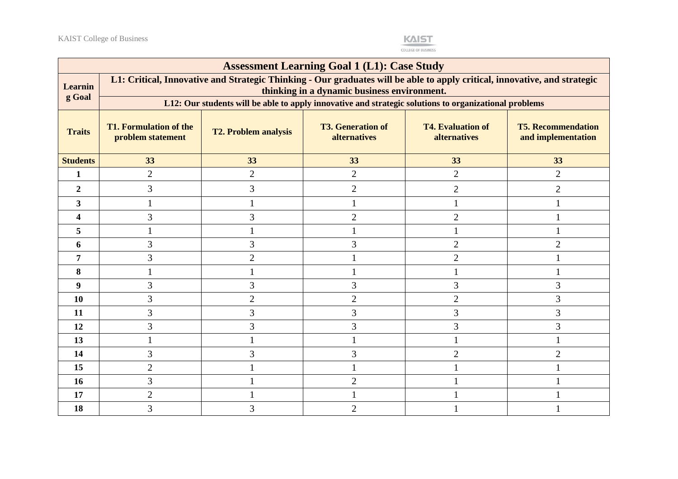

|                  | <b>Assessment Learning Goal 1 (L1): Case Study</b>                                                                                                                       |                                                                                                       |                                          |                                          |                                                 |
|------------------|--------------------------------------------------------------------------------------------------------------------------------------------------------------------------|-------------------------------------------------------------------------------------------------------|------------------------------------------|------------------------------------------|-------------------------------------------------|
| <b>Learnin</b>   | L1: Critical, Innovative and Strategic Thinking - Our graduates will be able to apply critical, innovative, and strategic<br>thinking in a dynamic business environment. |                                                                                                       |                                          |                                          |                                                 |
| g Goal           |                                                                                                                                                                          | L12: Our students will be able to apply innovative and strategic solutions to organizational problems |                                          |                                          |                                                 |
| <b>Traits</b>    | <b>T1. Formulation of the</b><br>problem statement                                                                                                                       | <b>T2. Problem analysis</b>                                                                           | <b>T3. Generation of</b><br>alternatives | <b>T4. Evaluation of</b><br>alternatives | <b>T5. Recommendation</b><br>and implementation |
| <b>Students</b>  | 33                                                                                                                                                                       | 33                                                                                                    | 33                                       | 33                                       | 33                                              |
| $\mathbf{1}$     | $\overline{2}$                                                                                                                                                           | $\overline{2}$                                                                                        | $\overline{2}$                           | $\overline{2}$                           | $\overline{2}$                                  |
| $\boldsymbol{2}$ | 3                                                                                                                                                                        | 3                                                                                                     | $\overline{2}$                           | $\overline{c}$                           | $\overline{c}$                                  |
| 3                |                                                                                                                                                                          |                                                                                                       |                                          |                                          |                                                 |
| 4                | 3                                                                                                                                                                        | 3                                                                                                     | $\overline{2}$                           | $\overline{2}$                           |                                                 |
| 5                |                                                                                                                                                                          |                                                                                                       |                                          |                                          |                                                 |
| 6                | 3                                                                                                                                                                        | 3                                                                                                     | 3                                        | $\overline{2}$                           | $\overline{2}$                                  |
| 7                | 3                                                                                                                                                                        | $\overline{2}$                                                                                        |                                          | $\overline{2}$                           |                                                 |
| 8                |                                                                                                                                                                          |                                                                                                       |                                          |                                          |                                                 |
| 9                | 3                                                                                                                                                                        | 3                                                                                                     | 3                                        | 3                                        | 3                                               |
| <b>10</b>        | 3                                                                                                                                                                        | $\overline{2}$                                                                                        | $\overline{2}$                           | $\overline{2}$                           | 3                                               |
| 11               | 3                                                                                                                                                                        | 3                                                                                                     | 3                                        | 3                                        | 3                                               |
| 12               | 3                                                                                                                                                                        | 3                                                                                                     | 3                                        | 3                                        | 3                                               |
| 13               |                                                                                                                                                                          |                                                                                                       |                                          |                                          |                                                 |
| 14               | 3                                                                                                                                                                        | 3                                                                                                     | 3                                        | $\overline{2}$                           | $\overline{2}$                                  |
| 15               | $\overline{2}$                                                                                                                                                           |                                                                                                       | 1                                        |                                          |                                                 |
| 16               | 3                                                                                                                                                                        |                                                                                                       | $\overline{2}$                           |                                          |                                                 |
| 17               | $\overline{2}$                                                                                                                                                           |                                                                                                       |                                          |                                          |                                                 |
| 18               | 3                                                                                                                                                                        | 3                                                                                                     | 2                                        |                                          |                                                 |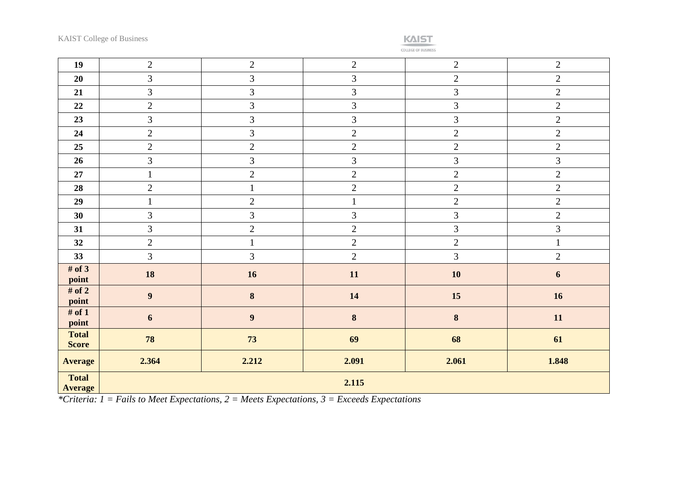

| 19                             | $\overline{2}$   | $\overline{2}$ | $\overline{2}$ | $\overline{2}$ | $\overline{2}$   |  |
|--------------------------------|------------------|----------------|----------------|----------------|------------------|--|
| 20                             | $\overline{3}$   | $\overline{3}$ | 3              | $\overline{2}$ | $\overline{2}$   |  |
| 21                             | $\mathfrak{Z}$   | $\mathfrak{Z}$ | $\mathfrak{Z}$ | $\mathfrak{Z}$ | $\overline{2}$   |  |
| 22                             | $\sqrt{2}$       | $\overline{3}$ | $\mathfrak{Z}$ | $\mathfrak{Z}$ | $\sqrt{2}$       |  |
| 23                             | 3                | $\overline{3}$ | 3              | 3              | $\overline{2}$   |  |
| 24                             | $\sqrt{2}$       | $\overline{3}$ | $\overline{2}$ | $\overline{2}$ | $\sqrt{2}$       |  |
| 25                             | $\sqrt{2}$       | $\overline{2}$ | $\overline{2}$ | $\overline{2}$ | $\sqrt{2}$       |  |
| 26                             | $\overline{3}$   | $\mathfrak{Z}$ | $\mathfrak{Z}$ | $\mathfrak{Z}$ | $\mathfrak{Z}$   |  |
| $27\,$                         | $\mathbf 1$      | $\overline{2}$ | $\sqrt{2}$     | $\sqrt{2}$     | $\sqrt{2}$       |  |
| 28                             | $\sqrt{2}$       | $\mathbf{1}$   | $\sqrt{2}$     | $\sqrt{2}$     | $\sqrt{2}$       |  |
| 29                             | $\mathbf{1}$     | $\overline{2}$ | $\mathbf{1}$   | $\sqrt{2}$     | $\overline{2}$   |  |
| 30                             | $\mathfrak{Z}$   | 3              | $\mathfrak{Z}$ | $\mathfrak{Z}$ | $\sqrt{2}$       |  |
| 31                             | $\mathfrak{Z}$   | $\overline{2}$ | $\overline{2}$ | 3              | $\mathfrak{Z}$   |  |
| 32                             | $\sqrt{2}$       | $\mathbf{1}$   | $\overline{2}$ | $\sqrt{2}$     | $\mathbf{1}$     |  |
| 33                             | $\overline{3}$   | $\overline{3}$ | $\overline{2}$ | $\overline{3}$ | $\overline{2}$   |  |
| # of $3$<br>point              | 18               | 16             | 11             | 10             | $\boldsymbol{6}$ |  |
| # of $2$<br>point              | $\boldsymbol{9}$ | $\bf 8$        | 14             | 15             | 16               |  |
| # of $1$<br>point              | 6                | $\overline{9}$ | $\bf{8}$       | $\bf{8}$       | 11               |  |
| <b>Total</b><br><b>Score</b>   | 78               | 73             | 69             | 68             | 61               |  |
| <b>Average</b>                 | 2.364            | 2.212          | 2.091          | 2.061          | 1.848            |  |
| <b>Total</b><br><b>Average</b> | 2.115            |                |                |                |                  |  |

*\*Criteria: 1 = Fails to Meet Expectations, 2 = Meets Expectations, 3 = Exceeds Expectations*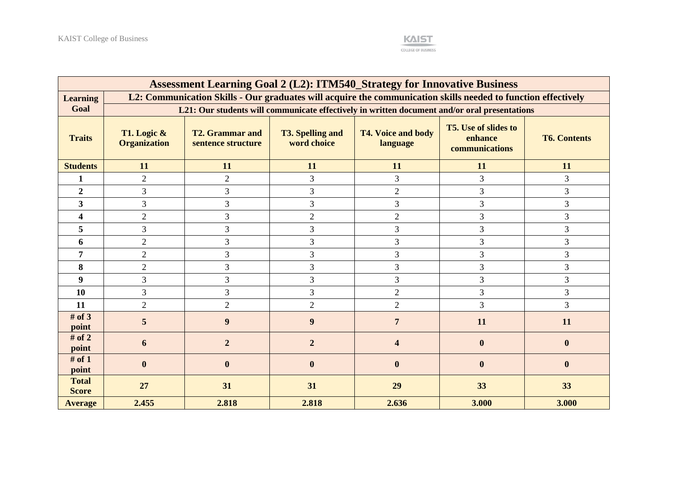

| <b>Assessment Learning Goal 2 (L2): ITM540_Strategy for Innovative Business</b> |                                                                                                               |                                              |                                        |                                                                                              |                                                          |                     |
|---------------------------------------------------------------------------------|---------------------------------------------------------------------------------------------------------------|----------------------------------------------|----------------------------------------|----------------------------------------------------------------------------------------------|----------------------------------------------------------|---------------------|
| <b>Learning</b>                                                                 | L2: Communication Skills - Our graduates will acquire the communication skills needed to function effectively |                                              |                                        |                                                                                              |                                                          |                     |
| Goal                                                                            |                                                                                                               |                                              |                                        | L21: Our students will communicate effectively in written document and/or oral presentations |                                                          |                     |
| <b>Traits</b>                                                                   | T1. Logic $\&$<br><b>Organization</b>                                                                         | <b>T2. Grammar and</b><br>sentence structure | <b>T3. Spelling and</b><br>word choice | <b>T4. Voice and body</b><br>language                                                        | <b>T5.</b> Use of slides to<br>enhance<br>communications | <b>T6. Contents</b> |
| <b>Students</b>                                                                 | 11                                                                                                            | 11                                           | 11                                     | 11                                                                                           | 11                                                       | 11                  |
| 1                                                                               | $\overline{2}$                                                                                                | $\overline{2}$                               | 3                                      | 3                                                                                            | 3                                                        | 3                   |
| $\overline{2}$                                                                  | 3                                                                                                             | 3                                            | 3                                      | $\overline{2}$                                                                               | 3                                                        | 3                   |
| 3 <sup>1</sup>                                                                  | 3                                                                                                             | $\overline{3}$                               | 3                                      | 3                                                                                            | 3                                                        | 3                   |
| $\overline{\mathbf{4}}$                                                         | $\overline{2}$                                                                                                | 3                                            | $\overline{2}$                         | $\mathbf{2}$                                                                                 | 3                                                        | 3                   |
| 5                                                                               | 3                                                                                                             | $\overline{3}$                               | 3                                      | 3                                                                                            | 3                                                        | 3                   |
| 6                                                                               | $\overline{2}$                                                                                                | 3                                            | 3                                      | 3                                                                                            | 3                                                        | 3                   |
| 7                                                                               | $\overline{2}$                                                                                                | $\overline{3}$                               | 3                                      | $\overline{3}$                                                                               | 3                                                        | $\overline{3}$      |
| 8                                                                               | $\overline{2}$                                                                                                | 3                                            | 3                                      | 3                                                                                            | 3                                                        | 3                   |
| 9                                                                               | 3                                                                                                             | 3                                            | 3                                      | 3                                                                                            | 3                                                        | $\overline{3}$      |
| 10                                                                              | 3                                                                                                             | $\overline{3}$                               | 3                                      | $\overline{2}$                                                                               | 3                                                        | 3                   |
| 11                                                                              | $\overline{2}$                                                                                                | $\overline{2}$                               | $\overline{2}$                         | $\overline{2}$                                                                               | 3                                                        | 3                   |
| # of $3$<br>point                                                               | 5                                                                                                             | 9                                            | 9                                      | $\overline{7}$                                                                               | 11                                                       | 11                  |
| # of $2$<br>point                                                               | 6                                                                                                             | $\overline{2}$                               | $\overline{2}$                         |                                                                                              | $\bf{0}$                                                 | $\mathbf{0}$        |
| # of $1$<br>point                                                               | $\mathbf{0}$                                                                                                  | $\bf{0}$                                     | $\boldsymbol{0}$                       | $\bf{0}$                                                                                     | $\boldsymbol{0}$                                         | $\boldsymbol{0}$    |
| <b>Total</b><br><b>Score</b>                                                    | 27                                                                                                            | 31                                           | 31                                     | 29                                                                                           | 33                                                       | 33                  |
| <b>Average</b>                                                                  | 2.455                                                                                                         | 2.818                                        | 2.818                                  | 2.636                                                                                        | 3.000                                                    | 3.000               |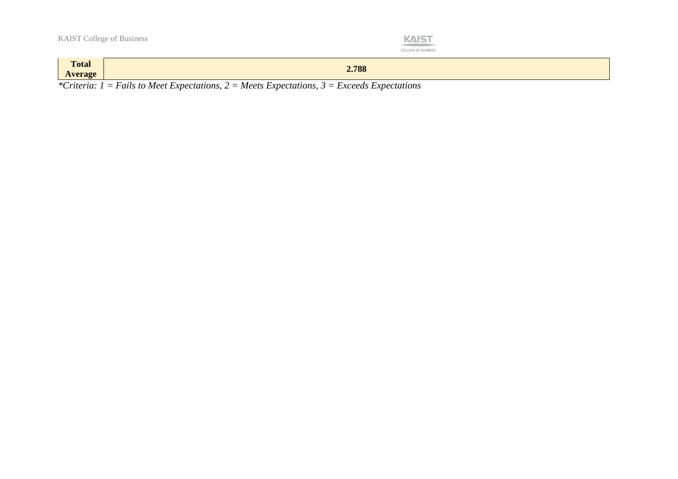| $-1$ |  | OF RUSI |  |
|------|--|---------|--|

| <b>Total</b><br><b>Average</b> | 2.788                                                                                                                                            |
|--------------------------------|--------------------------------------------------------------------------------------------------------------------------------------------------|
| $\sim$                         | $\sim$ $\sim$<br>$\overline{\phantom{0}}$<br>$\sqrt{ }$<br>$\overline{\phantom{a}}$<br>. .<br>$\overline{\phantom{a}}$<br>$\mathbf{r}$<br>$\sim$ |

*\*Criteria: 1 = Fails to Meet Expectations, 2 = Meets Expectations, 3 = Exceeds Expectations*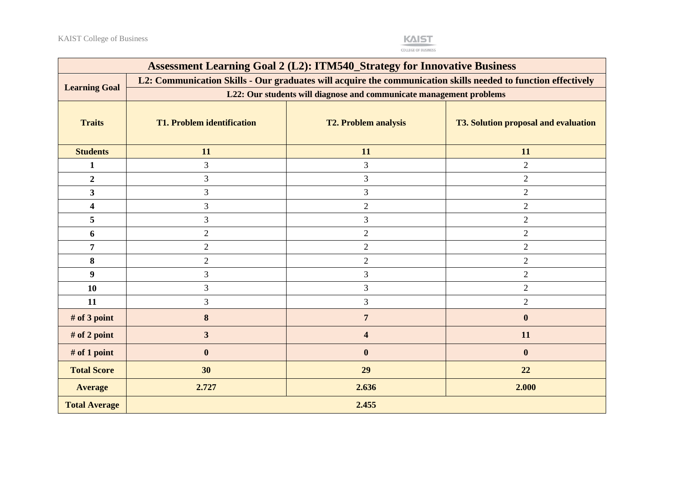

| <b>Assessment Learning Goal 2 (L2): ITM540_Strategy for Innovative Business</b> |                                                                                                               |                             |                                             |  |  |  |  |
|---------------------------------------------------------------------------------|---------------------------------------------------------------------------------------------------------------|-----------------------------|---------------------------------------------|--|--|--|--|
|                                                                                 | L2: Communication Skills - Our graduates will acquire the communication skills needed to function effectively |                             |                                             |  |  |  |  |
| <b>Learning Goal</b>                                                            | L22: Our students will diagnose and communicate management problems                                           |                             |                                             |  |  |  |  |
| <b>Traits</b>                                                                   | <b>T1. Problem identification</b>                                                                             | <b>T2. Problem analysis</b> | <b>T3. Solution proposal and evaluation</b> |  |  |  |  |
| <b>Students</b>                                                                 | 11                                                                                                            | 11                          | 11                                          |  |  |  |  |
| $\mathbf{1}$                                                                    | 3                                                                                                             | 3                           | $\overline{2}$                              |  |  |  |  |
| $\overline{2}$                                                                  | $\mathfrak{Z}$                                                                                                | $\mathfrak{Z}$              | $\overline{2}$                              |  |  |  |  |
| $\mathbf{3}$                                                                    | 3                                                                                                             | 3                           | $\overline{2}$                              |  |  |  |  |
| $\overline{\mathbf{4}}$                                                         | $\mathfrak{Z}$                                                                                                | $\overline{2}$              | $\overline{2}$                              |  |  |  |  |
| 5                                                                               | 3                                                                                                             | $\mathfrak{Z}$              | $\overline{2}$                              |  |  |  |  |
| 6                                                                               | $\sqrt{2}$                                                                                                    | $\overline{2}$              | $\overline{2}$                              |  |  |  |  |
| $\overline{7}$                                                                  | $\overline{2}$                                                                                                | $\sqrt{2}$                  | $\sqrt{2}$                                  |  |  |  |  |
| 8                                                                               | $\sqrt{2}$                                                                                                    | $\sqrt{2}$                  | $\overline{2}$                              |  |  |  |  |
| $\boldsymbol{9}$                                                                | 3                                                                                                             | 3                           | $\overline{2}$                              |  |  |  |  |
| 10                                                                              | 3                                                                                                             | $\overline{3}$              | $\overline{2}$                              |  |  |  |  |
| 11                                                                              | 3                                                                                                             | $\overline{3}$              | $\overline{2}$                              |  |  |  |  |
| # of 3 point                                                                    | 8                                                                                                             | $\overline{7}$              | $\boldsymbol{0}$                            |  |  |  |  |
| # of 2 point                                                                    | $\mathbf{3}$                                                                                                  | $\overline{\mathbf{4}}$     | 11                                          |  |  |  |  |
| # of 1 point                                                                    | $\bf{0}$                                                                                                      | $\bf{0}$                    | $\boldsymbol{0}$                            |  |  |  |  |
| <b>Total Score</b>                                                              | 30                                                                                                            | 29                          | 22                                          |  |  |  |  |
| <b>Average</b>                                                                  | 2.727                                                                                                         | 2.636                       | 2.000                                       |  |  |  |  |
| <b>Total Average</b>                                                            |                                                                                                               | 2.455                       |                                             |  |  |  |  |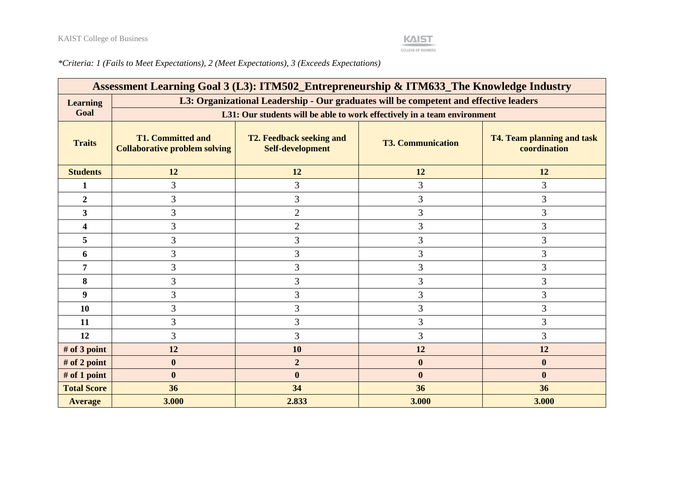

*\*Criteria: 1 (Fails to Meet Expectations), 2 (Meet Expectations), 3 (Exceeds Expectations)*

|                    | Assessment Learning Goal 3 (L3): ITM502_Entrepreneurship & ITM633_The Knowledge Industry |                                                                                       |                          |                                                   |  |  |
|--------------------|------------------------------------------------------------------------------------------|---------------------------------------------------------------------------------------|--------------------------|---------------------------------------------------|--|--|
| <b>Learning</b>    |                                                                                          | L3: Organizational Leadership - Our graduates will be competent and effective leaders |                          |                                                   |  |  |
| Goal               | L31: Our students will be able to work effectively in a team environment                 |                                                                                       |                          |                                                   |  |  |
| <b>Traits</b>      | <b>T1. Committed and</b><br><b>Collaborative problem solving</b>                         | <b>T2. Feedback seeking and</b><br>Self-development                                   | <b>T3. Communication</b> | <b>T4. Team planning and task</b><br>coordination |  |  |
| <b>Students</b>    | 12                                                                                       | 12                                                                                    | 12                       | 12                                                |  |  |
| 1                  | 3                                                                                        | 3                                                                                     | 3                        | 3                                                 |  |  |
| $\overline{2}$     | 3                                                                                        | 3                                                                                     | 3                        | 3                                                 |  |  |
| 3                  | 3                                                                                        | $\overline{2}$                                                                        | 3                        | $\mathfrak{Z}$                                    |  |  |
| 4                  | 3                                                                                        | $\overline{2}$                                                                        | 3                        | $\mathfrak{Z}$                                    |  |  |
| 5                  | 3                                                                                        | 3                                                                                     | 3                        | 3                                                 |  |  |
| 6                  | 3                                                                                        | 3                                                                                     | 3                        | 3                                                 |  |  |
| 7                  | 3                                                                                        | 3                                                                                     | 3                        | 3                                                 |  |  |
| 8                  | 3                                                                                        | 3                                                                                     | 3                        | 3                                                 |  |  |
| 9                  | 3                                                                                        | 3                                                                                     | $\mathfrak{Z}$           | $\mathfrak{Z}$                                    |  |  |
| 10                 | 3                                                                                        | 3                                                                                     | 3                        | 3                                                 |  |  |
| 11                 | 3                                                                                        | 3                                                                                     | 3                        | 3                                                 |  |  |
| 12                 | 3                                                                                        | 3                                                                                     | 3                        | 3                                                 |  |  |
| # of 3 point       | 12                                                                                       | 10                                                                                    | 12                       | 12                                                |  |  |
| # of 2 point       | $\boldsymbol{0}$                                                                         | $\boldsymbol{2}$                                                                      | $\boldsymbol{0}$         | $\boldsymbol{0}$                                  |  |  |
| # of 1 point       | $\bf{0}$                                                                                 | $\boldsymbol{0}$                                                                      | $\boldsymbol{0}$         | $\bf{0}$                                          |  |  |
| <b>Total Score</b> | 36                                                                                       | 34                                                                                    | 36                       | 36                                                |  |  |
| <b>Average</b>     | 3.000                                                                                    | 2.833                                                                                 | 3.000                    | 3.000                                             |  |  |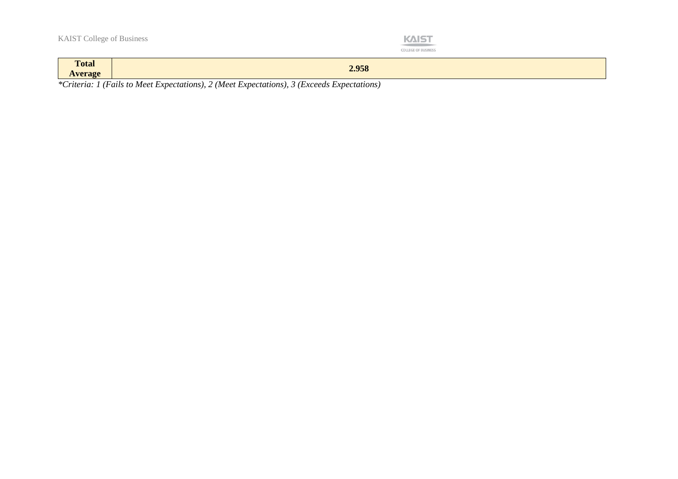

| $\mathbf{m}$<br><b>Total</b><br><b>Average</b> | 2.958                                                                                                        |
|------------------------------------------------|--------------------------------------------------------------------------------------------------------------|
| $\sim$<br>.                                    | $\sim$ $\sim$<br>$\mathbf{r}$<br>$\sim$<br>$\sim$ $\sim$<br>$\overline{\phantom{a}}$<br>$\sim$<br>. .<br>. . |

*\*Criteria: 1 (Fails to Meet Expectations), 2 (Meet Expectations), 3 (Exceeds Expectations)*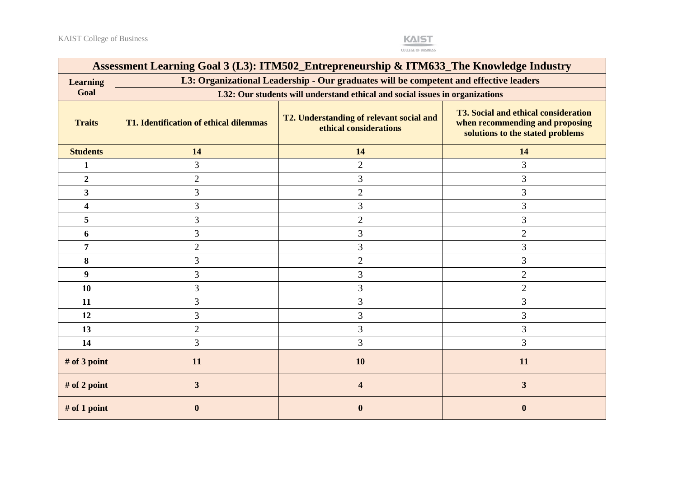

| Assessment Learning Goal 3 (L3): ITM502_Entrepreneurship & ITM633_The Knowledge Industry |                                                                                                                                                                                                                                           |                                                                                       |                         |  |  |  |  |  |
|------------------------------------------------------------------------------------------|-------------------------------------------------------------------------------------------------------------------------------------------------------------------------------------------------------------------------------------------|---------------------------------------------------------------------------------------|-------------------------|--|--|--|--|--|
| <b>Learning</b>                                                                          |                                                                                                                                                                                                                                           | L3: Organizational Leadership - Our graduates will be competent and effective leaders |                         |  |  |  |  |  |
| Goal                                                                                     | L32: Our students will understand ethical and social issues in organizations                                                                                                                                                              |                                                                                       |                         |  |  |  |  |  |
| <b>Traits</b>                                                                            | <b>T3. Social and ethical consideration</b><br>T2. Understanding of relevant social and<br>when recommending and proposing<br><b>T1. Identification of ethical dilemmas</b><br>ethical considerations<br>solutions to the stated problems |                                                                                       |                         |  |  |  |  |  |
| <b>Students</b>                                                                          | 14                                                                                                                                                                                                                                        | 14                                                                                    | 14                      |  |  |  |  |  |
| 1                                                                                        | 3                                                                                                                                                                                                                                         | $\overline{2}$                                                                        | 3                       |  |  |  |  |  |
| $\overline{2}$                                                                           | $\overline{2}$                                                                                                                                                                                                                            | 3                                                                                     | 3                       |  |  |  |  |  |
| $\overline{\mathbf{3}}$                                                                  | 3                                                                                                                                                                                                                                         | $\overline{2}$                                                                        | 3                       |  |  |  |  |  |
| 4                                                                                        | 3                                                                                                                                                                                                                                         | 3                                                                                     | 3                       |  |  |  |  |  |
| 5                                                                                        | 3                                                                                                                                                                                                                                         | $\overline{2}$                                                                        | 3                       |  |  |  |  |  |
| 6                                                                                        | 3                                                                                                                                                                                                                                         | 3                                                                                     | $\overline{2}$          |  |  |  |  |  |
| 7                                                                                        | $\overline{2}$                                                                                                                                                                                                                            | 3                                                                                     | 3                       |  |  |  |  |  |
| 8                                                                                        | 3                                                                                                                                                                                                                                         | $\overline{2}$                                                                        | 3                       |  |  |  |  |  |
| 9 <sup>°</sup>                                                                           | 3                                                                                                                                                                                                                                         | 3                                                                                     | $\overline{2}$          |  |  |  |  |  |
| 10                                                                                       | 3                                                                                                                                                                                                                                         | 3                                                                                     | $\overline{2}$          |  |  |  |  |  |
| 11                                                                                       | 3                                                                                                                                                                                                                                         | 3                                                                                     | 3                       |  |  |  |  |  |
| 12                                                                                       | 3                                                                                                                                                                                                                                         | 3                                                                                     | 3                       |  |  |  |  |  |
| 13                                                                                       | $\overline{2}$                                                                                                                                                                                                                            | 3                                                                                     | 3                       |  |  |  |  |  |
| 14                                                                                       | 3                                                                                                                                                                                                                                         | 3                                                                                     | 3                       |  |  |  |  |  |
| # of 3 point                                                                             | 11                                                                                                                                                                                                                                        | <b>10</b>                                                                             | 11                      |  |  |  |  |  |
| # of 2 point                                                                             | $\mathbf{3}$                                                                                                                                                                                                                              | 4                                                                                     | $\overline{\mathbf{3}}$ |  |  |  |  |  |
| # of 1 point                                                                             |                                                                                                                                                                                                                                           | $\bf{0}$                                                                              | $\mathbf{0}$            |  |  |  |  |  |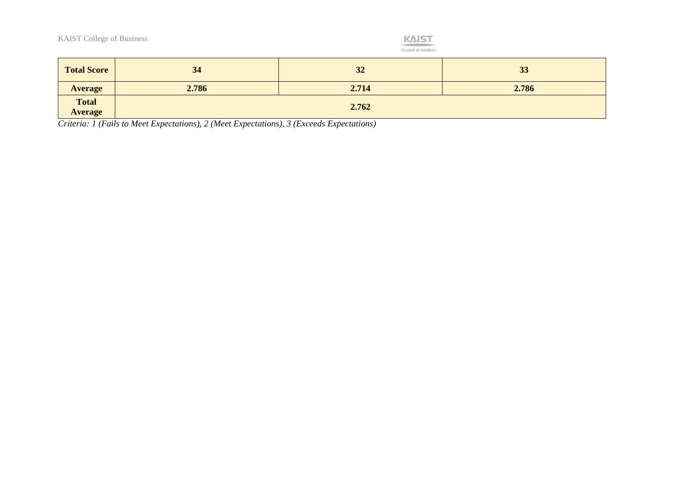

COLLEGE OF BUSINESS

| <b>Total Score</b>             | 34    | 32    | 33    |
|--------------------------------|-------|-------|-------|
| <b>Average</b>                 | 2.786 | 2.714 | 2.786 |
| <b>Total</b><br><b>Average</b> |       | 2.762 |       |

*Criteria: 1 (Fails to Meet Expectations), 2 (Meet Expectations), 3 (Exceeds Expectations)*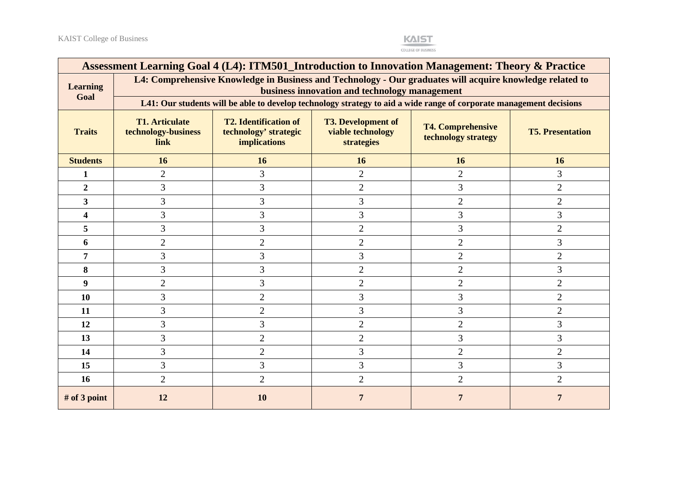

|                         | Assessment Learning Goal 4 (L4): ITM501_Introduction to Innovation Management: Theory & Practice                                                                                                                                                                                          |                                                                                                                     |                |                |                |  |  |
|-------------------------|-------------------------------------------------------------------------------------------------------------------------------------------------------------------------------------------------------------------------------------------------------------------------------------------|---------------------------------------------------------------------------------------------------------------------|----------------|----------------|----------------|--|--|
| <b>Learning</b><br>Goal | L4: Comprehensive Knowledge in Business and Technology - Our graduates will acquire knowledge related to<br>business innovation and technology management                                                                                                                                 |                                                                                                                     |                |                |                |  |  |
|                         |                                                                                                                                                                                                                                                                                           | L41: Our students will be able to develop technology strategy to aid a wide range of corporate management decisions |                |                |                |  |  |
| <b>Traits</b>           | <b>T1. Articulate</b><br><b>T2. Identification of</b><br><b>T3. Development of</b><br><b>T4. Comprehensive</b><br>technology-business<br>technology' strategic<br><b>viable technology</b><br><b>T5. Presentation</b><br>technology strategy<br><b>implications</b><br>strategies<br>link |                                                                                                                     |                |                |                |  |  |
| <b>Students</b>         | 16                                                                                                                                                                                                                                                                                        | 16                                                                                                                  | 16             | 16             | 16             |  |  |
| 1                       | $\overline{2}$                                                                                                                                                                                                                                                                            | 3                                                                                                                   | $\overline{2}$ | $\overline{2}$ | 3              |  |  |
| $\overline{2}$          | 3                                                                                                                                                                                                                                                                                         | 3                                                                                                                   | $\overline{2}$ | 3              | $\overline{2}$ |  |  |
| 3                       | 3                                                                                                                                                                                                                                                                                         | 3                                                                                                                   | 3              | $\overline{2}$ | $\overline{2}$ |  |  |
| 4                       | 3                                                                                                                                                                                                                                                                                         | 3                                                                                                                   | 3              | 3              | 3              |  |  |
| 5                       | 3                                                                                                                                                                                                                                                                                         | 3                                                                                                                   | $\overline{2}$ | 3              | $\overline{2}$ |  |  |
| 6                       | $\overline{2}$                                                                                                                                                                                                                                                                            | $\overline{2}$                                                                                                      | $\overline{2}$ | $\overline{2}$ | 3              |  |  |
| 7                       | 3                                                                                                                                                                                                                                                                                         | 3                                                                                                                   | 3              | $\overline{2}$ | $\overline{2}$ |  |  |
| 8                       | 3                                                                                                                                                                                                                                                                                         | 3                                                                                                                   | $\overline{2}$ | $\overline{2}$ | 3              |  |  |
| 9                       | $\overline{2}$                                                                                                                                                                                                                                                                            | 3                                                                                                                   | $\overline{2}$ | $\overline{2}$ | $\overline{2}$ |  |  |
| 10                      | 3                                                                                                                                                                                                                                                                                         | $\overline{2}$                                                                                                      | 3              | 3              | $\mathfrak{2}$ |  |  |
| 11                      | 3                                                                                                                                                                                                                                                                                         | $\overline{2}$                                                                                                      | $\overline{3}$ | 3              | $\overline{2}$ |  |  |
| 12                      | 3                                                                                                                                                                                                                                                                                         | 3                                                                                                                   | $\overline{2}$ | $\overline{2}$ | 3              |  |  |
| 13                      | 3                                                                                                                                                                                                                                                                                         | $\overline{2}$                                                                                                      | $\overline{2}$ | 3              | 3              |  |  |
| 14                      | 3                                                                                                                                                                                                                                                                                         | $\overline{2}$                                                                                                      | 3              | $\overline{2}$ | $\overline{2}$ |  |  |
| 15                      | 3                                                                                                                                                                                                                                                                                         | 3                                                                                                                   | 3              | 3              | 3              |  |  |
| 16                      | $\overline{2}$                                                                                                                                                                                                                                                                            | $\overline{2}$                                                                                                      | $\overline{2}$ | $\overline{2}$ | $\overline{2}$ |  |  |
| $#$ of 3 point          | 12                                                                                                                                                                                                                                                                                        | 10                                                                                                                  | 7              |                |                |  |  |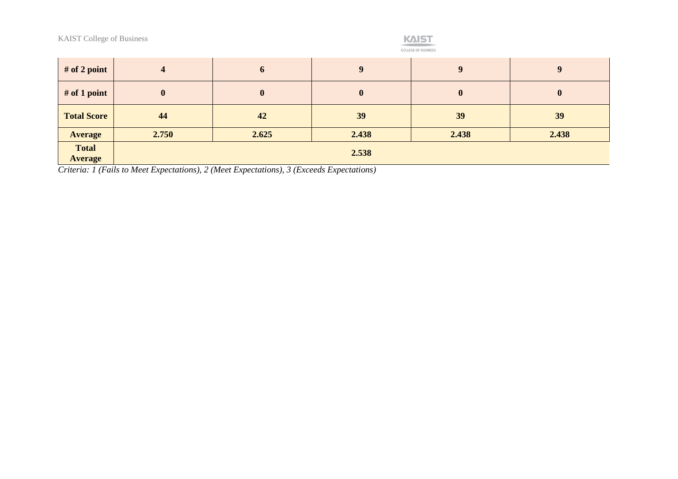

|  |  | DE BUSINES |  |  |
|--|--|------------|--|--|
|  |  |            |  |  |

| # of 2 point                   |                  | 6        | $\mathbf Q$ | $\boldsymbol{Q}$ | $\mathbf{Q}$     |  |  |
|--------------------------------|------------------|----------|-------------|------------------|------------------|--|--|
| $#$ of 1 point                 | $\boldsymbol{0}$ | $\bf{0}$ | $\bf{0}$    | $\boldsymbol{0}$ | $\boldsymbol{0}$ |  |  |
| <b>Total Score</b>             | 44               | 42       | 39          | 39               | 39               |  |  |
| <b>Average</b>                 | 2.750            | 2.625    | 2.438       | 2.438            | 2.438            |  |  |
| <b>Total</b><br><b>Average</b> | 2.538            |          |             |                  |                  |  |  |

*Criteria: 1 (Fails to Meet Expectations), 2 (Meet Expectations), 3 (Exceeds Expectations)*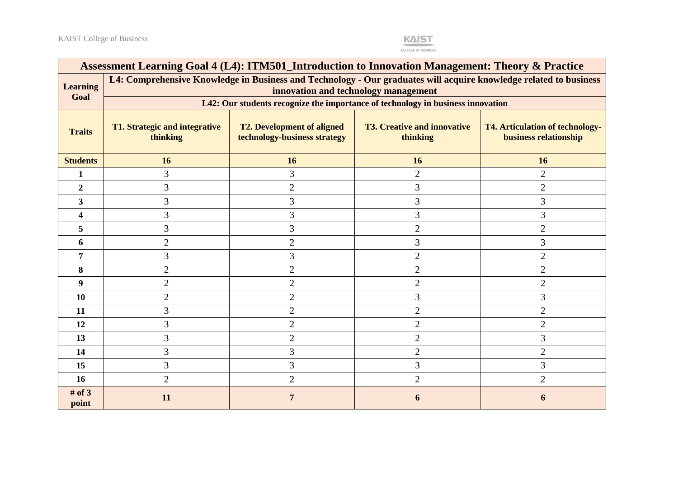

|                         | Assessment Learning Goal 4 (L4): ITM501_Introduction to Innovation Management: Theory & Practice                                                                                                                                    |                                                                                 |                |                |  |  |  |
|-------------------------|-------------------------------------------------------------------------------------------------------------------------------------------------------------------------------------------------------------------------------------|---------------------------------------------------------------------------------|----------------|----------------|--|--|--|
| <b>Learning</b><br>Goal | L4: Comprehensive Knowledge in Business and Technology - Our graduates will acquire knowledge related to business<br>innovation and technology management                                                                           |                                                                                 |                |                |  |  |  |
|                         |                                                                                                                                                                                                                                     | L42: Our students recognize the importance of technology in business innovation |                |                |  |  |  |
| <b>Traits</b>           | <b>T2. Development of aligned</b><br><b>T3. Creative and innovative</b><br>T1. Strategic and integrative<br><b>T4. Articulation of technology-</b><br>thinking<br>technology-business strategy<br>business relationship<br>thinking |                                                                                 |                |                |  |  |  |
| <b>Students</b>         | 16                                                                                                                                                                                                                                  | 16                                                                              | 16             | 16             |  |  |  |
| 1                       | 3                                                                                                                                                                                                                                   | 3                                                                               | $\overline{2}$ | $\overline{2}$ |  |  |  |
| $\overline{2}$          | 3                                                                                                                                                                                                                                   | $\overline{2}$                                                                  | $\overline{3}$ | $\overline{2}$ |  |  |  |
| 3                       | 3                                                                                                                                                                                                                                   | 3                                                                               | 3              | 3              |  |  |  |
|                         | 3                                                                                                                                                                                                                                   | 3                                                                               | 3              | 3              |  |  |  |
| 5                       | 3                                                                                                                                                                                                                                   | 3                                                                               | $\overline{2}$ | $\overline{2}$ |  |  |  |
| 6                       | 2                                                                                                                                                                                                                                   | 2                                                                               | 3              | 3              |  |  |  |
| 7                       | 3                                                                                                                                                                                                                                   | 3                                                                               | $\overline{2}$ | $\overline{2}$ |  |  |  |
| 8                       | $\overline{2}$                                                                                                                                                                                                                      | $\overline{2}$                                                                  | $\overline{2}$ | $\overline{2}$ |  |  |  |
| 9                       | $\overline{2}$                                                                                                                                                                                                                      | $\overline{2}$                                                                  | $\overline{2}$ | $\overline{2}$ |  |  |  |
| 10                      | 2                                                                                                                                                                                                                                   | $\overline{2}$                                                                  | 3              | 3              |  |  |  |
| 11                      | 3                                                                                                                                                                                                                                   | $\overline{2}$                                                                  | $\overline{2}$ | $\overline{2}$ |  |  |  |
| 12                      | 3                                                                                                                                                                                                                                   | $\overline{2}$                                                                  | $\overline{2}$ | $\overline{2}$ |  |  |  |
| 13                      | 3                                                                                                                                                                                                                                   | $\overline{2}$                                                                  | $\overline{2}$ | 3              |  |  |  |
| 14                      | 3                                                                                                                                                                                                                                   | 3                                                                               | $\overline{2}$ | $\overline{2}$ |  |  |  |
| 15                      | 3                                                                                                                                                                                                                                   | 3                                                                               | 3              | 3              |  |  |  |
| <b>16</b>               | $\overline{2}$                                                                                                                                                                                                                      | $\overline{2}$                                                                  | $\overline{2}$ | $\overline{2}$ |  |  |  |
| # of $3$<br>point       | <b>11</b>                                                                                                                                                                                                                           |                                                                                 |                |                |  |  |  |